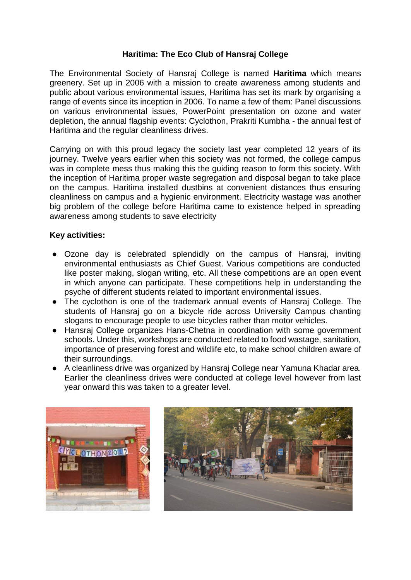## **Haritima: The Eco Club of Hansraj College**

The Environmental Society of Hansraj College is named **Haritima** which means greenery. Set up in 2006 with a mission to create awareness among students and public about various environmental issues, Haritima has set its mark by organising a range of events since its inception in 2006. To name a few of them: Panel discussions on various environmental issues, PowerPoint presentation on ozone and water depletion, the annual flagship events: Cyclothon, Prakriti Kumbha - the annual fest of Haritima and the regular cleanliness drives.

Carrying on with this proud legacy the society last year completed 12 years of its journey. Twelve years earlier when this society was not formed, the college campus was in complete mess thus making this the guiding reason to form this society. With the inception of Haritima proper waste segregation and disposal began to take place on the campus. Haritima installed dustbins at convenient distances thus ensuring cleanliness on campus and a hygienic environment. Electricity wastage was another big problem of the college before Haritima came to existence helped in spreading awareness among students to save electricity

## **Key activities:**

- Ozone day is celebrated splendidly on the campus of Hansraj, inviting environmental enthusiasts as Chief Guest. Various competitions are conducted like poster making, slogan writing, etc. All these competitions are an open event in which anyone can participate. These competitions help in understanding the psyche of different students related to important environmental issues.
- The cyclothon is one of the trademark annual events of Hansraj College. The students of Hansraj go on a bicycle ride across University Campus chanting slogans to encourage people to use bicycles rather than motor vehicles.
- Hansraj College organizes Hans-Chetna in coordination with some government schools. Under this, workshops are conducted related to food wastage, sanitation, importance of preserving forest and wildlife etc, to make school children aware of their surroundings.
- A cleanliness drive was organized by Hansraj College near Yamuna Khadar area. Earlier the cleanliness drives were conducted at college level however from last year onward this was taken to a greater level.